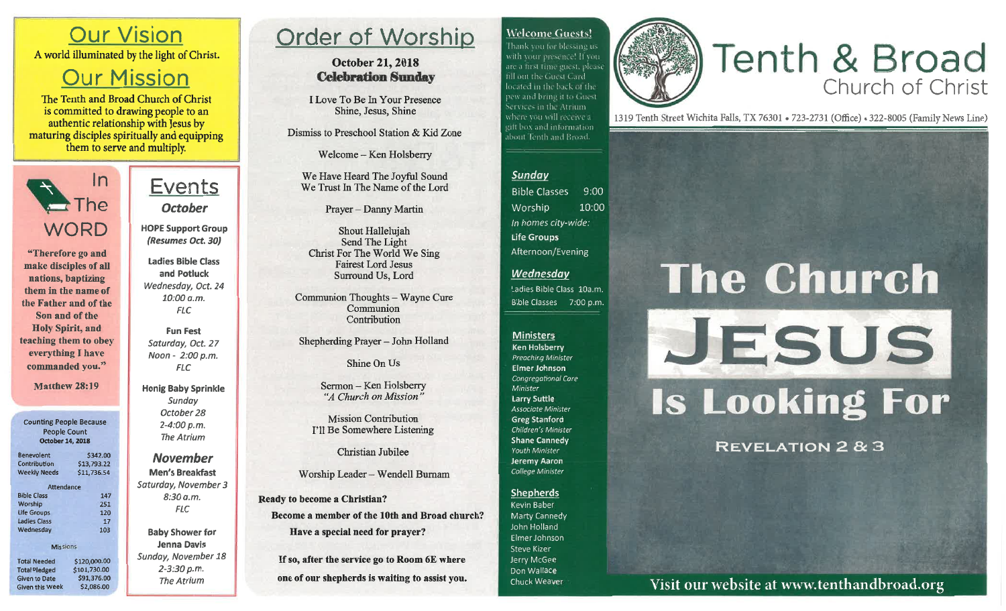#### **Welcome Guests!**

Thank you for blessing us with your presence! If you are a first time guest, please fill out the Guest Card located in the back of the pew and bring it to Guest. Services in the Atrium. where you will receive a gift box and information. about Tenth and Broad.

## **Tenth & Broad** Church of Christ

1319 Tenth Street Wichita Falls, TX 76301 . 723-2731 (Office) . 322-8005 (Family News Line)

#### Sunday

**Bible Classes**  $9:00$ Worship 10:00 In homes city-wide: **Life Groups** Afternoon/Evening

#### **Wednesday**

Ladies Bible Class 10a.m. Bible Classes 7:00 p.m.

#### **Ministers**

**Ken Holsberry Preaching Minister** Elmer Johnson Congregational Care Minister **Larry Suttle** Associate Minister **Greg Stanford** Children's Minister **Shane Cannedy** Youth Minister Jeremy Aaron College Minister

#### Shepherds

Kevin Baber Marty Cannedy John Holland Elmer Johnson **Steve Kizer** Jerry McGee Don Wallace Chuck Weaver

# **The Church** JESUS **Is Looking For**

**REVELATION 2 & 3** 

Visit our website at www.tenthandbroad.org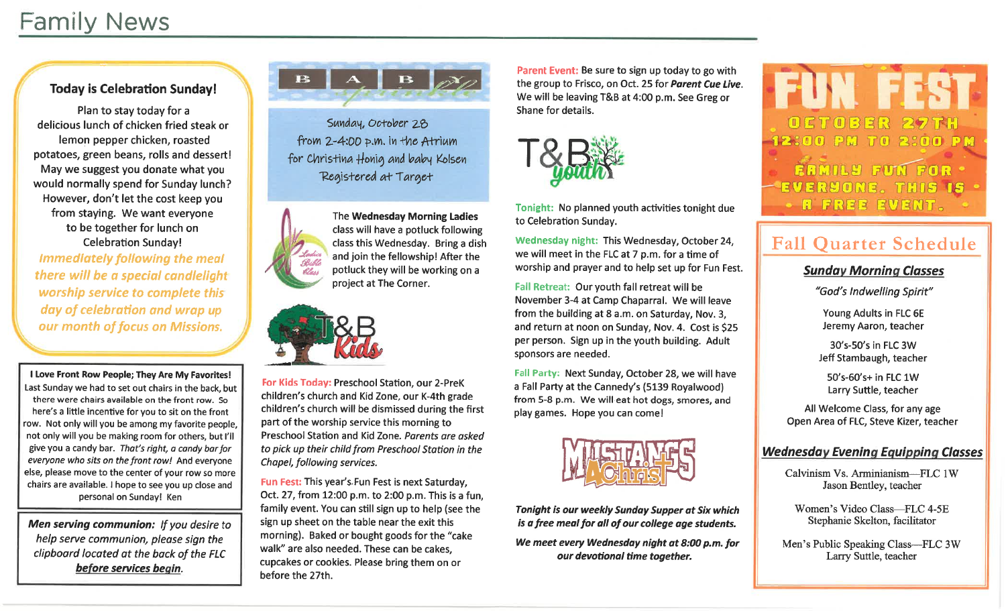### **Family News**

#### **Today is Celebration Sunday!**

Plan to stay today for a delicious lunch of chicken fried steak or lemon pepper chicken, roasted potatoes, green beans, rolls and dessert! May we suggest you donate what you would normally spend for Sunday lunch? However, don't let the cost keep you from staying. We want everyone to be together for lunch on **Celebration Sunday! Immediately following the meal** there will be a special candlelight worship service to complete this day of celebration and wrap up our month of focus on Missions.

I Love Front Row People; They Are My Favorites! Last Sunday we had to set out chairs in the back, but there were chairs available on the front row. So here's a little incentive for you to sit on the front row. Not only will you be among my favorite people, not only will you be making room for others, but I'll give you a candy bar. That's right, a candy bar for everyone who sits on the front row! And everyone else, please move to the center of your row so more chairs are available. I hope to see you up close and personal on Sunday! Ken

Men serving communion: If you desire to help serve communion, please sign the clipboard located at the back of the FLC before services begin.

# 13

Sunday, October 28 from 2-4:00 p.m. in the Atrium for Christina Honig and baby Kolsen Registered at Target



The Wednesday Morning Ladies class will have a potluck following class this Wednesday. Bring a dish and join the fellowship! After the potluck they will be working on a project at The Corner.



For Kids Today: Preschool Station, our 2-PreK children's church and Kid Zone, our K-4th grade children's church will be dismissed during the first part of the worship service this morning to Preschool Station and Kid Zone. Parents are asked to pick up their child from Preschool Station in the Chapel, following services.

Fun Fest: This year's Fun Fest is next Saturday, Oct. 27, from 12:00 p.m. to 2:00 p.m. This is a fun, family event. You can still sign up to help (see the sign up sheet on the table near the exit this morning). Baked or bought goods for the "cake" walk" are also needed. These can be cakes. cupcakes or cookies. Please bring them on or before the 27th.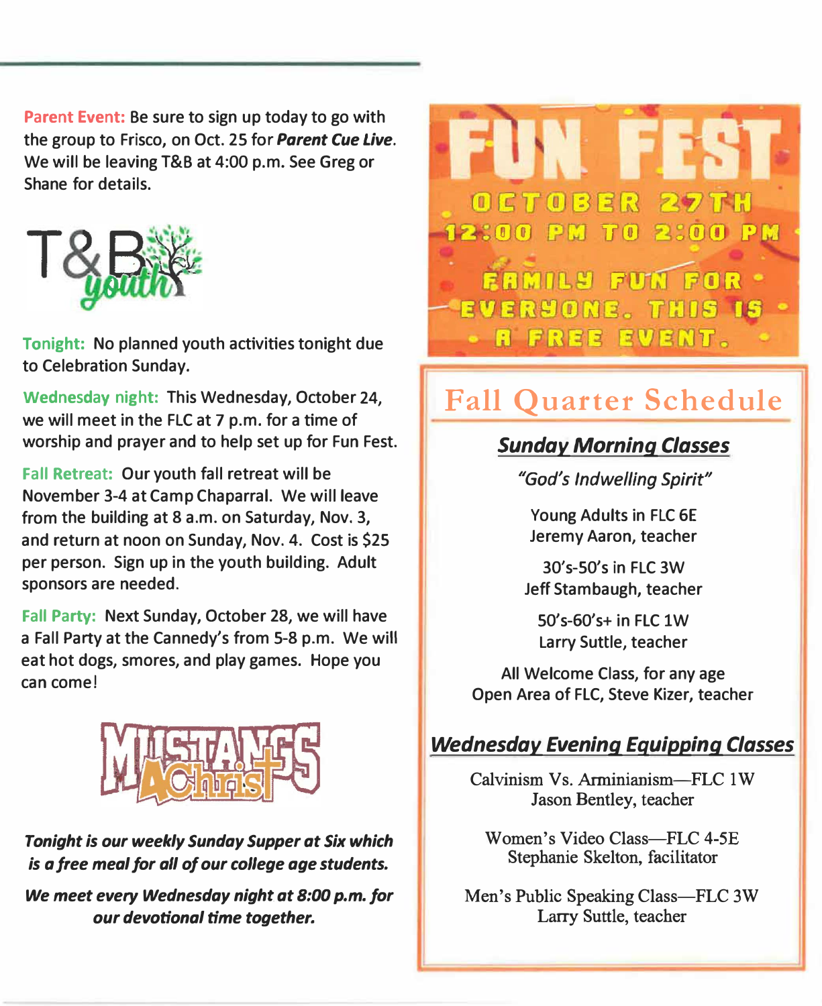**Parent Event: Be sure to sign up today to go with the group to Frisco, on Oct. 25 for** *Parent Cue Live.*  **We will be leaving T&B at 4:00 p.m. See Greg or Shane for details.** 



**Tonight: No planned youth activities tonight due to Celebration Sunday.** 

**Wednesday night: This Wednesday, October 24, we will meet in the FLC at 7 p.m. for a time of worship and prayer and to help set up for Fun Fest.** 

**Fall Retreat: Our youth fall retreat will be November 3-4 at Camp Chaparral. We will leave from the building at 8 a.m. on Saturday, Nov. 3, and return at noon on Sunday, Nov. 4. Cost is \$25 per person. Sign up in the youth building. Adult sponsors are needed.**

**Fall Party: Next Sunday, October 28, we will have a Fall Party at the Cannedy's from 5-8 p.m. We will eat hot dogs, smores, and play games. Hope you can come!** 



#### *Tonight is our weekly Sunday Supper at Six which is a free meal for all of our college age students.*

*We meet every Wednesday night at 8:00 p.m. for our devotional time together.* 



### **Fall Quarter Schedule**

#### *Sunday Morning Classes*

*"God's Indwelling Spirit"* 

**Young Adults in FLC GE Jeremy Aaron, teacher** 

**30's-50's in FLC 3W Jeff Stambaugh, teacher** 

**50's-60's+ in FLC 1W Larry Suttle, teacher** 

**All Welcome Class, for any age Open Area of FLC, Steve Kizer, teacher** 

#### *Wednesday Evening Equipping Classes*

Calvinism Vs. Arminianism-FLC 1 W Jason Bentley, teacher

Women's Video Class-FLC 4-5E Stephanie Skelton, facilitator

Men's Public Speaking Class-FLC 3W Larry Suttle, teacher